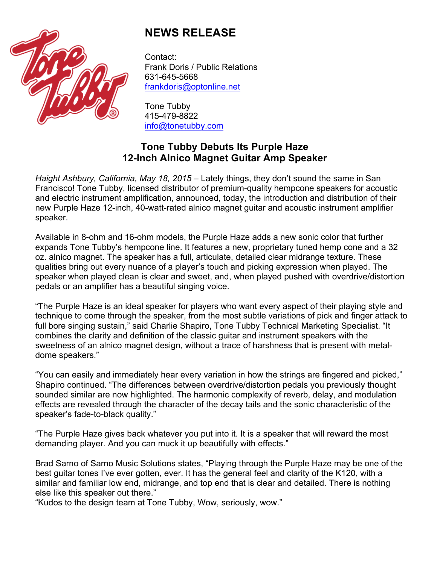

## **NEWS RELEASE**

Contact: Frank Doris / Public Relations 631-645-5668 frankdoris@optonline.net

Tone Tubby 415-479-8822 info@tonetubby.com

## **Tone Tubby Debuts Its Purple Haze 12-Inch Alnico Magnet Guitar Amp Speaker**

*Haight Ashbury, California, May 18, 2015* – Lately things, they don't sound the same in San Francisco! Tone Tubby, licensed distributor of premium-quality hempcone speakers for acoustic and electric instrument amplification, announced, today, the introduction and distribution of their new Purple Haze 12-inch, 40-watt-rated alnico magnet guitar and acoustic instrument amplifier speaker.

Available in 8-ohm and 16-ohm models, the Purple Haze adds a new sonic color that further expands Tone Tubby's hempcone line. It features a new, proprietary tuned hemp cone and a 32 oz. alnico magnet. The speaker has a full, articulate, detailed clear midrange texture. These qualities bring out every nuance of a player's touch and picking expression when played. The speaker when played clean is clear and sweet, and, when played pushed with overdrive/distortion pedals or an amplifier has a beautiful singing voice.

"The Purple Haze is an ideal speaker for players who want every aspect of their playing style and technique to come through the speaker, from the most subtle variations of pick and finger attack to full bore singing sustain," said Charlie Shapiro, Tone Tubby Technical Marketing Specialist. "It combines the clarity and definition of the classic guitar and instrument speakers with the sweetness of an alnico magnet design, without a trace of harshness that is present with metaldome speakers."

"You can easily and immediately hear every variation in how the strings are fingered and picked," Shapiro continued. "The differences between overdrive/distortion pedals you previously thought sounded similar are now highlighted. The harmonic complexity of reverb, delay, and modulation effects are revealed through the character of the decay tails and the sonic characteristic of the speaker's fade-to-black quality."

"The Purple Haze gives back whatever you put into it. It is a speaker that will reward the most demanding player. And you can muck it up beautifully with effects."

Brad Sarno of Sarno Music Solutions states, "Playing through the Purple Haze may be one of the best guitar tones I've ever gotten, ever. It has the general feel and clarity of the K120, with a similar and familiar low end, midrange, and top end that is clear and detailed. There is nothing else like this speaker out there."

"Kudos to the design team at Tone Tubby, Wow, seriously, wow."